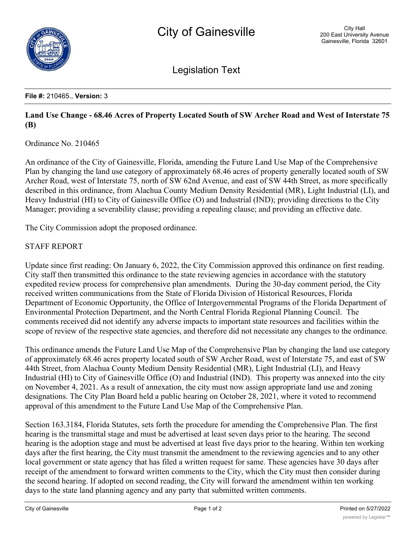

Legislation Text

## **File #:** 210465., **Version:** 3

## **Land Use Change - 68.46 Acres of Property Located South of SW Archer Road and West of Interstate 75 (B)**

Ordinance No. 210465

An ordinance of the City of Gainesville, Florida, amending the Future Land Use Map of the Comprehensive Plan by changing the land use category of approximately 68.46 acres of property generally located south of SW Archer Road, west of Interstate 75, north of SW 62nd Avenue, and east of SW 44th Street, as more specifically described in this ordinance, from Alachua County Medium Density Residential (MR), Light Industrial (LI), and Heavy Industrial (HI) to City of Gainesville Office (O) and Industrial (IND); providing directions to the City Manager; providing a severability clause; providing a repealing clause; and providing an effective date.

The City Commission adopt the proposed ordinance.

## STAFF REPORT

Update since first reading: On January 6, 2022, the City Commission approved this ordinance on first reading. City staff then transmitted this ordinance to the state reviewing agencies in accordance with the statutory expedited review process for comprehensive plan amendments. During the 30-day comment period, the City received written communications from the State of Florida Division of Historical Resources, Florida Department of Economic Opportunity, the Office of Intergovernmental Programs of the Florida Department of Environmental Protection Department, and the North Central Florida Regional Planning Council. The comments received did not identify any adverse impacts to important state resources and facilities within the scope of review of the respective state agencies, and therefore did not necessitate any changes to the ordinance.

This ordinance amends the Future Land Use Map of the Comprehensive Plan by changing the land use category of approximately 68.46 acres property located south of SW Archer Road, west of Interstate 75, and east of SW 44th Street, from Alachua County Medium Density Residential (MR), Light Industrial (LI), and Heavy Industrial (HI) to City of Gainesville Office (O) and Industrial (IND). This property was annexed into the city on November 4, 2021. As a result of annexation, the city must now assign appropriate land use and zoning designations. The City Plan Board held a public hearing on October 28, 2021, where it voted to recommend approval of this amendment to the Future Land Use Map of the Comprehensive Plan.

Section 163.3184, Florida Statutes, sets forth the procedure for amending the Comprehensive Plan. The first hearing is the transmittal stage and must be advertised at least seven days prior to the hearing. The second hearing is the adoption stage and must be advertised at least five days prior to the hearing. Within ten working days after the first hearing, the City must transmit the amendment to the reviewing agencies and to any other local government or state agency that has filed a written request for same. These agencies have 30 days after receipt of the amendment to forward written comments to the City, which the City must then consider during the second hearing. If adopted on second reading, the City will forward the amendment within ten working days to the state land planning agency and any party that submitted written comments.